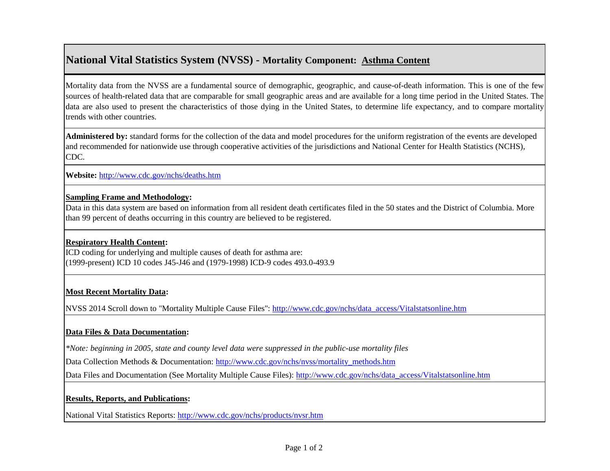# **National Vital Statistics System (NVSS) - Mortality Component: Asthma Content**

Mortality data from the NVSS are a fundamental source of demographic, geographic, and cause-of-death information. This is one of the few sources of health-related data that are comparable for small geographic areas and are available for a long time period in the United States. The data are also used to present the characteristics of those dying in the United States, to determine life expectancy, and to compare mortality trends with other countries.

**Administered by:** standard forms for the collection of the data and model procedures for the uniform registration of the events are developed and recommended for nationwide use through cooperative activities of the jurisdictions and National Center for Health Statistics (NCHS), CDC.

**[Website:](http://www.cdc.gov/nchs/deaths.htm)** <http://www.cdc.gov/nchs/deaths.htm>

## **Sampling Frame and Methodology:**

Data in this data system are based on information from all resident death certificates filed in the 50 states and the District of Columbia. More than 99 percent of deaths occurring in this country are believed to be registered.

## **Respiratory Health Content:**

ICD coding for underlying and multiple causes of death for asthma are: (1999-present) ICD 10 codes J45-J46 and (1979-1998) ICD-9 codes 493.0-493.9

## **Most Recent Mortality Data:**

[NVSS 2014 Scroll down to "Mortality Multiple Cause Files": http://www.cdc.gov/nchs/data\\_access/Vitalstatsonline.htm](http://www.cdc.gov/nchs/data_access/Vitalstatsonline.htm)

## **Data Files & Data Documentation:**

*\*Note: beginning in 2005, state and county level data were suppressed in the public-use mortality files*

[Data Collection Methods & Documentation: http://www.cdc.gov/nchs/nvss/mortality\\_methods.htm](http://www.cdc.gov/nchs/nvss/mortality_methods.htm)

[Data Files and Documentation \(See Mortality Multiple Cause Files\):](http://www.cdc.gov/nchs/data_access/Vitalstatsonline.htm) [http://www.cdc.gov/nchs/data\\_access/Vitalstatsonline.htm](http://www.cdc.gov/nchs/data_access/Vitalstatsonline.htm)

## **Results, Reports, and Publications:**

[National Vital Statistics Reports: http://www.cdc.gov/nchs/products/nvsr.htm](http://www.cdc.gov/nchs/products/nvsr.htm)